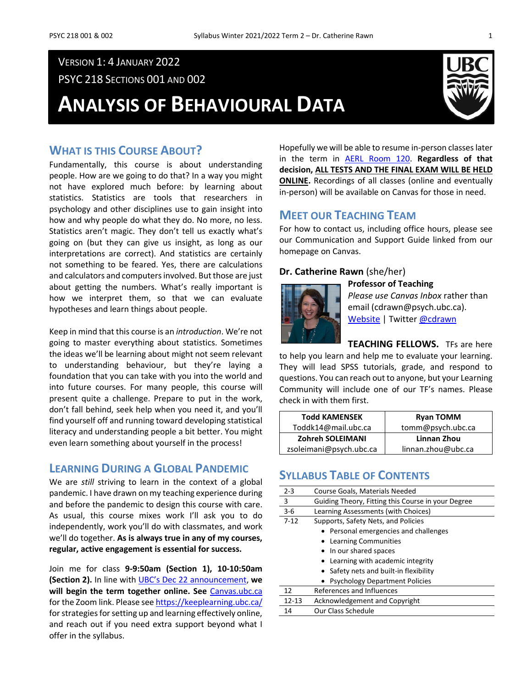# VERSION 1: 4 JANUARY 2022

PSYC 218 SECTIONS 001 AND 002

# **ANALYSIS OF BEHAVIOURAL DATA**



# **WHAT IS THIS COURSE ABOUT?**

Fundamentally, this course is about understanding people. How are we going to do that? In a way you might not have explored much before: by learning about statistics. Statistics are tools that researchers in psychology and other disciplines use to gain insight into how and why people do what they do. No more, no less. Statistics aren't magic. They don't tell us exactly what's going on (but they can give us insight, as long as our interpretations are correct). And statistics are certainly not something to be feared. Yes, there are calculations and calculators and computers involved. But those are just about getting the numbers. What's really important is how we interpret them, so that we can evaluate hypotheses and learn things about people.

Keep in mind that this course is an *introduction*. We're not going to master everything about statistics. Sometimes the ideas we'll be learning about might not seem relevant to understanding behaviour, but they're laying a foundation that you can take with you into the world and into future courses. For many people, this course will present quite a challenge. Prepare to put in the work, don't fall behind, seek help when you need it, and you'll find yourself off and running toward developing statistical literacy and understanding people a bit better. You might even learn something about yourself in the process!

# **LEARNING DURING A GLOBAL PANDEMIC**

We are *still* striving to learn in the context of a global pandemic. I have drawn on my teaching experience during and before the pandemic to design this course with care. As usual, this course mixes work I'll ask you to do independently, work you'll do with classmates, and work we'll do together. **As is always true in any of my courses, regular, active engagement is essential for success.** 

Join me for class **9-9:50am (Section 1), 10-10:50am (Section 2).** In line with [UBC's Dec 22 announcement,](https://news.ubc.ca/2021/12/22/covid-19-planning-for-2021-22-winter-session-term-2/) **we will begin the term together online. See** [Canvas.ubc.ca](https://canvas.ubc.ca/) for the Zoom link. Please se[e https://keeplearning.ubc.ca/](https://keeplearning.ubc.ca/) for strategies for setting up and learning effectively online, and reach out if you need extra support beyond what I offer in the syllabus.

Hopefully we will be able to resume in-person classes later in the term in [AERL Room 120.](http://www.maps.ubc.ca/PROD/index_detail.php?locat1=316) **Regardless of that decision, ALL TESTS AND THE FINAL EXAM WILL BE HELD ONLINE.** Recordings of all classes (online and eventually in-person) will be available on Canvas for those in need.

# **MEET OUR TEACHING TEAM**

For how to contact us, including office hours, please see our Communication and Support Guide linked from our homepage on Canvas.

#### **Dr. Catherine Rawn** (she/her)



*Please use Canvas Inbox* rather than email (cdrawn@psych.ubc.ca). [Website](http://blogs.ubc.ca/catherinerawn/) | Twitte[r @cdrawn](https://twitter.com/cdrawn)

**TEACHING FELLOWS.** TFs are here

to help you learn and help me to evaluate your learning. They will lead SPSS tutorials, grade, and respond to questions. You can reach out to anyone, but your Learning Community will include one of our TF's names. Please check in with them first.

| <b>Todd KAMENSEK</b>    | <b>Ryan TOMM</b>   |  |
|-------------------------|--------------------|--|
| Toddk14@mail.ubc.ca     | tomm@psych.ubc.ca  |  |
| Zohreh SOLEIMANI        | Linnan Zhou        |  |
| zsoleimani@psych.ubc.ca | linnan.zhou@ubc.ca |  |

# **SYLLABUS TABLE OF CONTENTS**

| $2 - 3$   | Course Goals, Materials Needed                     |  |  |  |
|-----------|----------------------------------------------------|--|--|--|
| 3         | Guiding Theory, Fitting this Course in your Degree |  |  |  |
| $3-6$     | Learning Assessments (with Choices)                |  |  |  |
| $7 - 12$  | Supports, Safety Nets, and Policies                |  |  |  |
|           | • Personal emergencies and challenges              |  |  |  |
|           | • Learning Communities                             |  |  |  |
|           | • In our shared spaces                             |  |  |  |
|           | • Learning with academic integrity                 |  |  |  |
|           | • Safety nets and built-in flexibility             |  |  |  |
|           | <b>Psychology Department Policies</b>              |  |  |  |
| 12        | References and Influences                          |  |  |  |
| $12 - 13$ | <b>Acknowledgement and Copyright</b>               |  |  |  |
| 14        | Our Class Schedule                                 |  |  |  |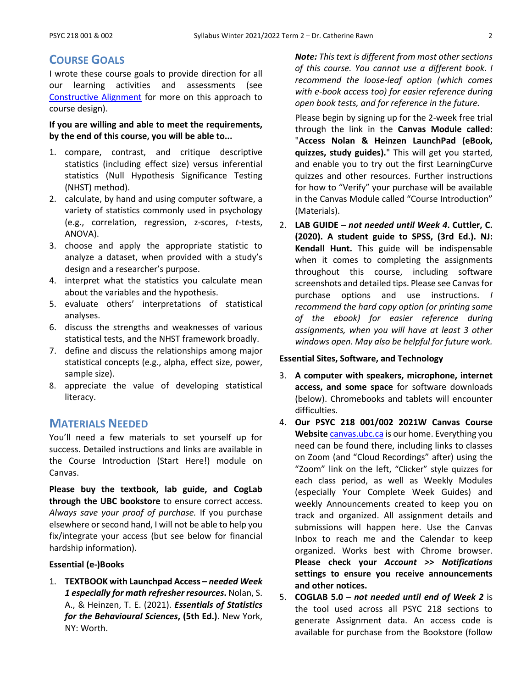# **COURSE GOALS**

I wrote these course goals to provide direction for all our learning activities and assessments (see [Constructive Alignment](https://youtu.be/3GegIMZLO24) for more on this approach to course design).

### **If you are willing and able to meet the requirements, by the end of this course, you will be able to...**

- 1. compare, contrast, and critique descriptive statistics (including effect size) versus inferential statistics (Null Hypothesis Significance Testing (NHST) method).
- 2. calculate, by hand and using computer software, a variety of statistics commonly used in psychology (e.g., correlation, regression, z-scores, *t*-tests, ANOVA).
- 3. choose and apply the appropriate statistic to analyze a dataset, when provided with a study's design and a researcher's purpose.
- 4. interpret what the statistics you calculate mean about the variables and the hypothesis.
- 5. evaluate others' interpretations of statistical analyses.
- 6. discuss the strengths and weaknesses of various statistical tests, and the NHST framework broadly.
- 7. define and discuss the relationships among major statistical concepts (e.g., alpha, effect size, power, sample size).
- 8. appreciate the value of developing statistical literacy.

# **MATERIALS NEEDED**

You'll need a few materials to set yourself up for success. Detailed instructions and links are available in the Course Introduction (Start Here!) module on Canvas.

**Please buy the textbook, lab guide, and CogLab through the UBC bookstore** to ensure correct access. *Always save your proof of purchase.* If you purchase elsewhere or second hand, I will not be able to help you fix/integrate your access (but see below for financial hardship information).

#### **Essential (e-)Books**

1. **TEXTBOOK with Launchpad Access –** *needed Week 1 especially for math refresher resources***.** Nolan, S. A., & Heinzen, T. E. (2021). *Essentials of Statistics for the Behavioural Sciences***, (5th Ed.)**. New York, NY: Worth.

*Note: This text is different from most other sections of this course. You cannot use a different book. I recommend the loose-leaf option (which comes with e-book access too) for easier reference during open book tests, and for reference in the future.*

Please begin by signing up for the 2-week free trial through the link in the **Canvas Module called:** "**Access Nolan & Heinzen LaunchPad (eBook, quizzes, study guides).**" This will get you started, and enable you to try out the first LearningCurve quizzes and other resources. Further instructions for how to "Verify" your purchase will be available in the Canvas Module called "Course Introduction" (Materials).

2. **LAB GUIDE –** *not needed until Week 4***. Cuttler, C. (2020). A student guide to SPSS, (3rd Ed.). NJ: Kendall Hunt.** This guide will be indispensable when it comes to completing the assignments throughout this course, including software screenshots and detailed tips. Please see Canvas for purchase options and use instructions. *I recommend the hard copy option (or printing some of the ebook) for easier reference during assignments, when you will have at least 3 other windows open. May also be helpful for future work.*

#### **Essential Sites, Software, and Technology**

- 3. **A computer with speakers, microphone, internet access, and some space** for software downloads (below). Chromebooks and tablets will encounter difficulties.
- 4. **Our PSYC 218 001/002 2021W Canvas Course**  Website **[canvas.ubc.ca](https://canvas.ubc.ca/)** is our home. Everything you need can be found there, including links to classes on Zoom (and "Cloud Recordings" after) using the "Zoom" link on the left, "Clicker" style quizzes for each class period, as well as Weekly Modules (especially Your Complete Week Guides) and weekly Announcements created to keep you on track and organized. All assignment details and submissions will happen here. Use the Canvas Inbox to reach me and the Calendar to keep organized. Works best with Chrome browser. **Please check your** *Account >> Notifications* **settings to ensure you receive announcements and other notices.**
- 5. **COGLAB 5.0 –** *not needed until end of Week 2* is the tool used across all PSYC 218 sections to generate Assignment data. An access code is available for purchase from the Bookstore (follow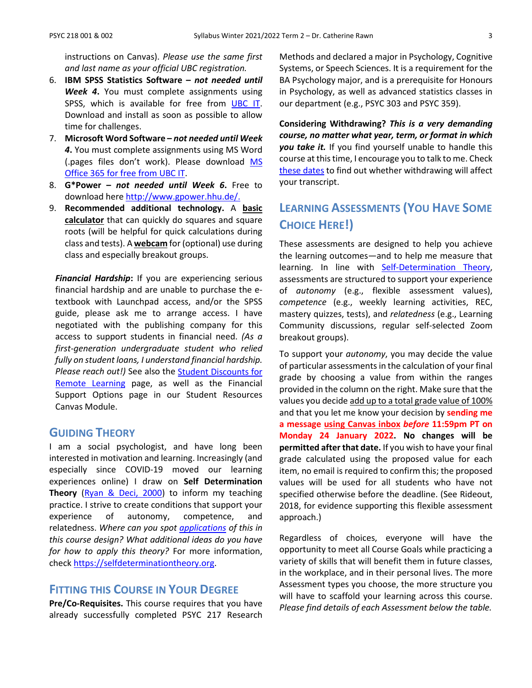instructions on Canvas). *Please use the same first and last name as your official UBC registration.*

- 6. **IBM SPSS Statistics Software –** *not needed until Week 4***.** You must complete assignments using SPSS, which is available for free from [UBC IT.](https://it.ubc.ca/services/desktop-print-services/software-licensing/spss) Download and install as soon as possible to allow time for challenges.
- 7. **Microsoft Word Software –** *not needed until Week 4***.** You must complete assignments using MS Word (.pages files don't work). Please download [MS](https://it.ubc.ca/services/desktop-print-services/software-licensing/microsoft-365-students)  [Office 365 for free from UBC IT.](https://it.ubc.ca/services/desktop-print-services/software-licensing/microsoft-365-students)
- 8. **G\*Power –** *not needed until Week 6***.** Free to download here [http://www.gpower.hhu.de/.](http://www.gpower.hhu.de/)
- 9. **Recommended additional technology.** A **basic calculator** that can quickly do squares and square roots (will be helpful for quick calculations during class and tests). A **webcam** for (optional) use during class and especially breakout groups.

*Financial Hardship***:** If you are experiencing serious financial hardship and are unable to purchase the etextbook with Launchpad access, and/or the SPSS guide, please ask me to arrange access. I have negotiated with the publishing company for this access to support students in financial need. *(As a first-generation undergraduate student who relied fully on student loans, I understand financial hardship. Please reach out!)* See also the [Student Discounts for](https://it.ubc.ca/services/student-discounts-remote-learning)  [Remote Learning](https://it.ubc.ca/services/student-discounts-remote-learning) page, as well as the Financial Support Options page in our Student Resources Canvas Module.

# **GUIDING THEORY**

I am a social psychologist, and have long been interested in motivation and learning. Increasingly (and especially since COVID-19 moved our learning experiences online) I draw on **Self Determination Theory** [\(Ryan & Deci, 2000\)](https://psycnet.apa.org/record/2000-13324-007) to inform my teaching practice. I strive to create conditions that support your experience of autonomy, competence, and relatedness. *Where can you spot [applications](https://selfdeterminationtheory.org/application-education/) of this in this course design? What additional ideas do you have for how to apply this theory?* For more information, chec[k https://selfdeterminationtheory.org.](https://selfdeterminationtheory.org/)

# **FITTING THIS COURSE IN YOUR DEGREE**

**Pre/Co-Requisites.** This course requires that you have already successfully completed PSYC 217 Research Methods and declared a major in Psychology, Cognitive Systems, or Speech Sciences. It is a requirement for the BA Psychology major, and is a prerequisite for Honours in Psychology, as well as advanced statistics classes in our department (e.g., PSYC 303 and PSYC 359).

**Considering Withdrawing?** *This is a very demanding course, no matter what year, term, or format in which you take it.* If you find yourself unable to handle this course at this time, I encourage you to talk to me. Check [these dates](http://www.calendar.ubc.ca/vancouver/index.cfm?page=deadlines) to find out whether withdrawing will affect your transcript.

# **LEARNING ASSESSMENTS (YOU HAVE SOME CHOICE HERE!)**

These assessments are designed to help you achieve the learning outcomes—and to help me measure that learning. In line with **Self-Determination Theory**, assessments are structured to support your experience of *autonomy* (e.g., flexible assessment values), *competence* (e.g., weekly learning activities, REC, mastery quizzes, tests), and *relatedness* (e.g., Learning Community discussions, regular self-selected Zoom breakout groups).

To support your *autonomy*, you may decide the value of particular assessments in the calculation of your final grade by choosing a value from within the ranges provided in the column on the right. Make sure that the values you decide add up to a total grade value of 100% and that you let me know your decision by **sending me a message using Canvas inbox** *before* **11:59pm PT on Monday 24 January 2022. No changes will be permitted after that date.** If you wish to have your final grade calculated using the proposed value for each item, no email is required to confirm this; the proposed values will be used for all students who have not specified otherwise before the deadline. (See Rideout, 2018, for evidence supporting this flexible assessment approach.)

Regardless of choices, everyone will have the opportunity to meet all Course Goals while practicing a variety of skills that will benefit them in future classes, in the workplace, and in their personal lives. The more Assessment types you choose, the more structure you will have to scaffold your learning across this course. *Please find details of each Assessment below the table.*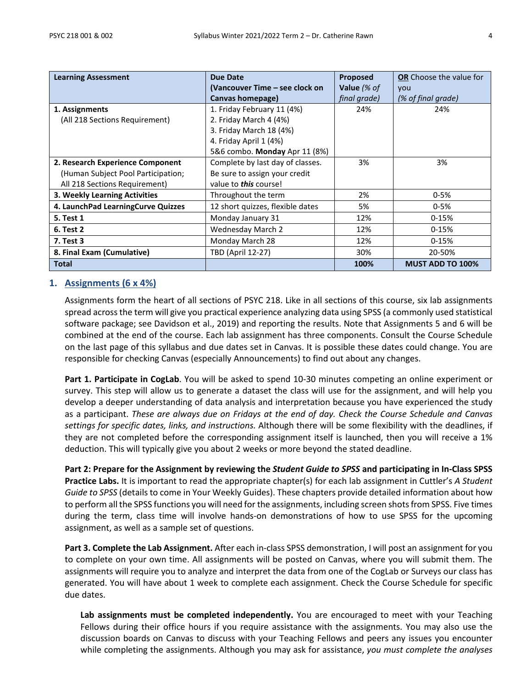| <b>Learning Assessment</b>         | <b>Due Date</b>                  | Proposed     | <b>OR</b> Choose the value for |
|------------------------------------|----------------------------------|--------------|--------------------------------|
|                                    | (Vancouver Time – see clock on   | Value (% of  | you                            |
|                                    | Canvas homepage)                 | final grade) | (% of final grade)             |
| 1. Assignments                     | 1. Friday February 11 (4%)       | 24%          | 24%                            |
| (All 218 Sections Requirement)     | 2. Friday March 4 (4%)           |              |                                |
|                                    | 3. Friday March 18 (4%)          |              |                                |
|                                    | 4. Friday April 1 (4%)           |              |                                |
|                                    | 5&6 combo. Monday Apr 11 (8%)    |              |                                |
| 2. Research Experience Component   | Complete by last day of classes. | 3%           | 3%                             |
| (Human Subject Pool Participation; | Be sure to assign your credit    |              |                                |
| All 218 Sections Requirement)      | value to <b>this</b> course!     |              |                                |
| 3. Weekly Learning Activities      | Throughout the term              | 2%           | $0 - 5%$                       |
| 4. LaunchPad LearningCurve Quizzes | 12 short quizzes, flexible dates | 5%           | $0 - 5%$                       |
| <b>5. Test 1</b>                   | Monday January 31                | 12%          | $0-15%$                        |
| <b>6. Test 2</b>                   | <b>Wednesday March 2</b>         | 12%          | $0-15%$                        |
| 7. Test 3                          | Monday March 28                  | 12%          | $0 - 15%$                      |
| 8. Final Exam (Cumulative)         | TBD (April 12-27)                | 30%          | 20-50%                         |
| Total                              |                                  | 100%         | <b>MUST ADD TO 100%</b>        |

### **1. Assignments (6 x 4%)**

Assignments form the heart of all sections of PSYC 218. Like in all sections of this course, six lab assignments spread across the term will give you practical experience analyzing data using SPSS (a commonly used statistical software package; see Davidson et al., 2019) and reporting the results. Note that Assignments 5 and 6 will be combined at the end of the course. Each lab assignment has three components. Consult the Course Schedule on the last page of this syllabus and due dates set in Canvas. It is possible these dates could change. You are responsible for checking Canvas (especially Announcements) to find out about any changes.

**Part 1. Participate in CogLab**. You will be asked to spend 10-30 minutes competing an online experiment or survey. This step will allow us to generate a dataset the class will use for the assignment, and will help you develop a deeper understanding of data analysis and interpretation because you have experienced the study as a participant. *These are always due on Fridays at the end of day. Check the Course Schedule and Canvas settings for specific dates, links, and instructions.* Although there will be some flexibility with the deadlines, if they are not completed before the corresponding assignment itself is launched, then you will receive a 1% deduction. This will typically give you about 2 weeks or more beyond the stated deadline.

**Part 2: Prepare for the Assignment by reviewing the** *Student Guide to SPSS* **and participating in In-Class SPSS Practice Labs.** It is important to read the appropriate chapter(s) for each lab assignment in Cuttler's *A Student Guide to SPSS* (details to come in Your Weekly Guides). These chapters provide detailed information about how to perform all the SPSS functions you will need for the assignments, including screen shots from SPSS. Five times during the term, class time will involve hands-on demonstrations of how to use SPSS for the upcoming assignment, as well as a sample set of questions.

**Part 3. Complete the Lab Assignment.** After each in-class SPSS demonstration, I will post an assignment for you to complete on your own time. All assignments will be posted on Canvas, where you will submit them. The assignments will require you to analyze and interpret the data from one of the CogLab or Surveys our class has generated. You will have about 1 week to complete each assignment. Check the Course Schedule for specific due dates.

**Lab assignments must be completed independently.** You are encouraged to meet with your Teaching Fellows during their office hours if you require assistance with the assignments. You may also use the discussion boards on Canvas to discuss with your Teaching Fellows and peers any issues you encounter while completing the assignments. Although you may ask for assistance, *you must complete the analyses*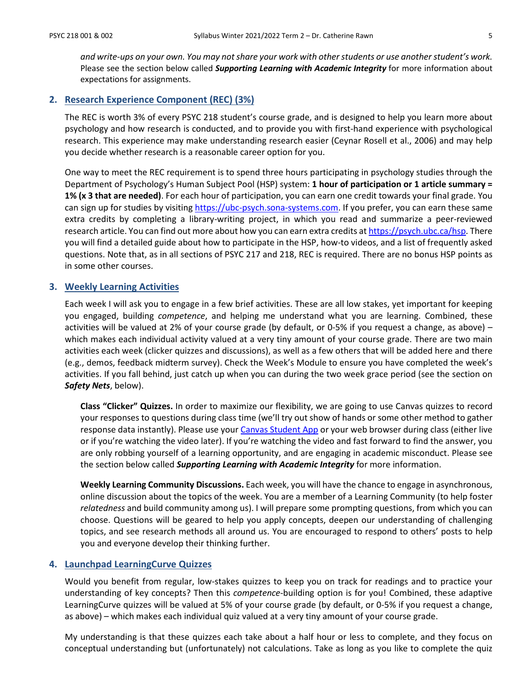*and write-ups on your own. You may not share your work with other students or use another student's work.*  Please see the section below called *Supporting Learning with Academic Integrity* for more information about expectations for assignments.

#### **2. Research Experience Component (REC) (3%)**

The REC is worth 3% of every PSYC 218 student's course grade, and is designed to help you learn more about psychology and how research is conducted, and to provide you with first-hand experience with psychological research. This experience may make understanding research easier (Ceynar Rosell et al., 2006) and may help you decide whether research is a reasonable career option for you.

One way to meet the REC requirement is to spend three hours participating in psychology studies through the Department of Psychology's Human Subject Pool (HSP) system: **1 hour of participation or 1 article summary = 1% (x 3 that are needed)**. For each hour of participation, you can earn one credit towards your final grade. You can sign up for studies by visiting [https://ubc-psych.sona-systems.com.](https://ubc-psych.sona-systems.com/) If you prefer, you can earn these same extra credits by completing a library-writing project, in which you read and summarize a peer-reviewed research article. You can find out more about how you can earn extra credits a[t https://psych.ubc.ca/hsp.](https://psych.ubc.ca/hsp) There you will find a detailed guide about how to participate in the HSP, how-to videos, and a list of frequently asked questions. Note that, as in all sections of PSYC 217 and 218, REC is required. There are no bonus HSP points as in some other courses.

#### **3. Weekly Learning Activities**

Each week I will ask you to engage in a few brief activities. These are all low stakes, yet important for keeping you engaged, building *competence*, and helping me understand what you are learning. Combined, these activities will be valued at 2% of your course grade (by default, or 0-5% if you request a change, as above) – which makes each individual activity valued at a very tiny amount of your course grade. There are two main activities each week (clicker quizzes and discussions), as well as a few others that will be added here and there (e.g., demos, feedback midterm survey). Check the Week's Module to ensure you have completed the week's activities. If you fall behind, just catch up when you can during the two week grace period (see the section on *Safety Nets*, below).

**Class "Clicker" Quizzes.** In order to maximize our flexibility, we are going to use Canvas quizzes to record your responses to questions during class time (we'll try out show of hands or some other method to gather response data instantly). Please use your [Canvas Student App](https://isit.arts.ubc.ca/canvas-mobile/) or your web browser during class (either live or if you're watching the video later). If you're watching the video and fast forward to find the answer, you are only robbing yourself of a learning opportunity, and are engaging in academic misconduct. Please see the section below called *Supporting Learning with Academic Integrity* for more information.

**Weekly Learning Community Discussions.** Each week, you will have the chance to engage in asynchronous, online discussion about the topics of the week. You are a member of a Learning Community (to help foster *relatedness* and build community among us). I will prepare some prompting questions, from which you can choose. Questions will be geared to help you apply concepts, deepen our understanding of challenging topics, and see research methods all around us. You are encouraged to respond to others' posts to help you and everyone develop their thinking further.

#### **4. Launchpad LearningCurve Quizzes**

Would you benefit from regular, low-stakes quizzes to keep you on track for readings and to practice your understanding of key concepts? Then this *competence-*building option is for you! Combined, these adaptive LearningCurve quizzes will be valued at 5% of your course grade (by default, or 0-5% if you request a change, as above) – which makes each individual quiz valued at a very tiny amount of your course grade.

My understanding is that these quizzes each take about a half hour or less to complete, and they focus on conceptual understanding but (unfortunately) not calculations. Take as long as you like to complete the quiz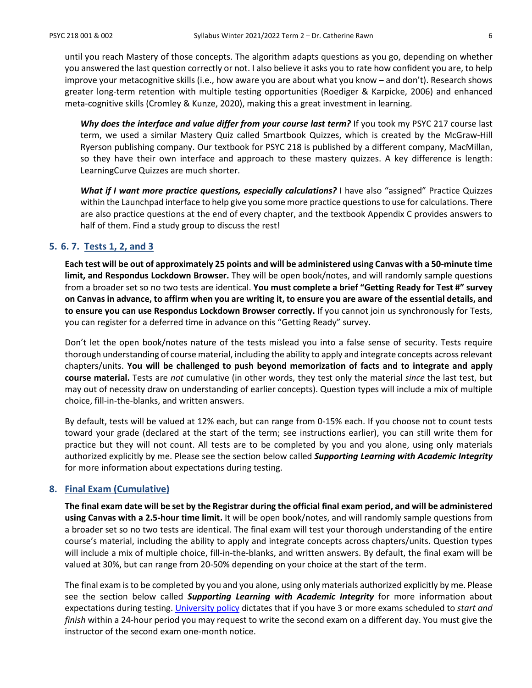until you reach Mastery of those concepts. The algorithm adapts questions as you go, depending on whether you answered the last question correctly or not. I also believe it asks you to rate how confident you are, to help improve your metacognitive skills (i.e., how aware you are about what you know – and don't). Research shows greater long-term retention with multiple testing opportunities (Roediger & Karpicke, 2006) and enhanced meta-cognitive skills (Cromley & Kunze, 2020), making this a great investment in learning.

Why does the interface and value differ from your course last term? If you took my PSYC 217 course last term, we used a similar Mastery Quiz called Smartbook Quizzes, which is created by the McGraw-Hill Ryerson publishing company. Our textbook for PSYC 218 is published by a different company, MacMillan, so they have their own interface and approach to these mastery quizzes. A key difference is length: LearningCurve Quizzes are much shorter.

*What if I want more practice questions, especially calculations?* I have also "assigned" Practice Quizzes within the Launchpad interface to help give you some more practice questions to use for calculations. There are also practice questions at the end of every chapter, and the textbook Appendix C provides answers to half of them. Find a study group to discuss the rest!

## **5. 6. 7. Tests 1, 2, and 3**

**Each test will be out of approximately 25 points and will be administered using Canvas with a 50-minute time limit, and Respondus Lockdown Browser.** They will be open book/notes, and will randomly sample questions from a broader set so no two tests are identical. **You must complete a brief "Getting Ready for Test #" survey on Canvas in advance, to affirm when you are writing it, to ensure you are aware of the essential details, and to ensure you can use Respondus Lockdown Browser correctly.** If you cannot join us synchronously for Tests, you can register for a deferred time in advance on this "Getting Ready" survey.

Don't let the open book/notes nature of the tests mislead you into a false sense of security. Tests require thorough understanding of course material, including the ability to apply and integrate concepts across relevant chapters/units. **You will be challenged to push beyond memorization of facts and to integrate and apply course material.** Tests are *not* cumulative (in other words, they test only the material *since* the last test, but may out of necessity draw on understanding of earlier concepts). Question types will include a mix of multiple choice, fill-in-the-blanks, and written answers.

By default, tests will be valued at 12% each, but can range from 0-15% each. If you choose not to count tests toward your grade (declared at the start of the term; see instructions earlier), you can still write them for practice but they will not count. All tests are to be completed by you and you alone, using only materials authorized explicitly by me. Please see the section below called *Supporting Learning with Academic Integrity* for more information about expectations during testing.

#### **8. Final Exam (Cumulative)**

**The final exam date will be set by the Registrar during the official final exam period, and will be administered using Canvas with a 2.5-hour time limit.** It will be open book/notes, and will randomly sample questions from a broader set so no two tests are identical. The final exam will test your thorough understanding of the entire course's material, including the ability to apply and integrate concepts across chapters/units. Question types will include a mix of multiple choice, fill-in-the-blanks, and written answers. By default, the final exam will be valued at 30%, but can range from 20-50% depending on your choice at the start of the term.

The final exam is to be completed by you and you alone, using only materials authorized explicitly by me. Please see the section below called *Supporting Learning with Academic Integrity* for more information about expectations during testing. [University policy](http://www.calendar.ubc.ca/vancouver/index.cfm?tree=3,41,91,0) dictates that if you have 3 or more exams scheduled to *start and finish* within a 24-hour period you may request to write the second exam on a different day. You must give the instructor of the second exam one-month notice.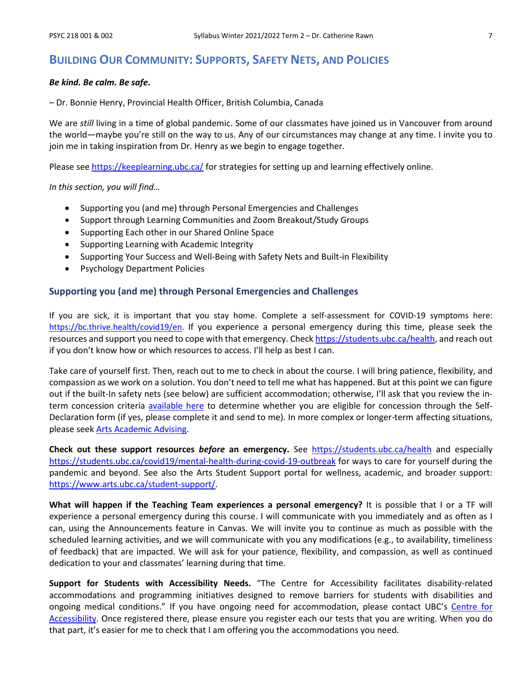# **BUILDING OUR COMMUNITY: SUPPORTS, SAFETY NETS, AND POLICIES**

#### *Be kind. Be calm. Be safe***.**

– Dr. Bonnie Henry, Provincial Health Officer, British Columbia, Canada

We are *still* living in a time of global pandemic. Some of our classmates have joined us in Vancouver from around the world—maybe you're still on the way to us. Any of our circumstances may change at any time. I invite you to join me in taking inspiration from Dr. Henry as we begin to engage together.

Please se[e https://keeplearning.ubc.ca/](https://keeplearning.ubc.ca/) for strategies for setting up and learning effectively online.

*In this section, you will find…*

- Supporting you (and me) through Personal Emergencies and Challenges
- Support through Learning Communities and Zoom Breakout/Study Groups
- Supporting Each other in our Shared Online Space
- Supporting Learning with Academic Integrity
- Supporting Your Success and Well-Being with Safety Nets and Built-in Flexibility
- Psychology Department Policies

#### **Supporting you (and me) through Personal Emergencies and Challenges**

If you are sick, it is important that you stay home. Complete a self-assessment for COVID-19 symptoms here: [https://bc.thrive.health/covid19/en.](https://bc.thrive.health/covid19/en) If you experience a personal emergency during this time, please seek the resources and support you need to cope with that emergency. Check [https://students.ubc.ca/health,](https://students.ubc.ca/health) and reach out if you don't know how or which resources to access. I'll help as best I can.

Take care of yourself first. Then, reach out to me to check in about the course. I will bring patience, flexibility, and compassion as we work on a solution. You don't need to tell me what has happened. But at this point we can figure out if the built-In safety nets (see below) are sufficient accommodation; otherwise, I'll ask that you review the interm concession criteria [available here](https://www.arts.ubc.ca/degree-planning/academic-performance/academic-concession/) to determine whether you are eligible for concession through the Self-Declaration form (if yes, please complete it and send to me). In more complex or longer-term affecting situations, please see[k Arts Academic Advising.](https://students.arts.ubc.ca/advising/contact-us/)

**Check out these support resources** *before* **an emergency.** See <https://students.ubc.ca/health> and especially <https://students.ubc.ca/covid19/mental-health-during-covid-19-outbreak> for ways to care for yourself during the pandemic and beyond. See also the Arts Student Support portal for wellness, academic, and broader support: [https://www.arts.ubc.ca/student-support/.](https://www.arts.ubc.ca/student-support/)

**What will happen if the Teaching Team experiences a personal emergency?** It is possible that I or a TF will experience a personal emergency during this course. I will communicate with you immediately and as often as I can, using the Announcements feature in Canvas. We will invite you to continue as much as possible with the scheduled learning activities, and we will communicate with you any modifications (e.g., to availability, timeliness of feedback) that are impacted. We will ask for your patience, flexibility, and compassion, as well as continued dedication to your and classmates' learning during that time.

**Support for Students with Accessibility Needs.** "The Centre for Accessibility facilitates disability-related accommodations and programming initiatives designed to remove barriers for students with disabilities and ongoing medical conditions." If you have ongoing need for accommodation, please contact UBC's Centre for [Accessibility.](https://students.ubc.ca/about-student-services/centre-for-accessibility) Once registered there, please ensure you register each our tests that you are writing. When you do that part, it's easier for me to check that I am offering you the accommodations you need.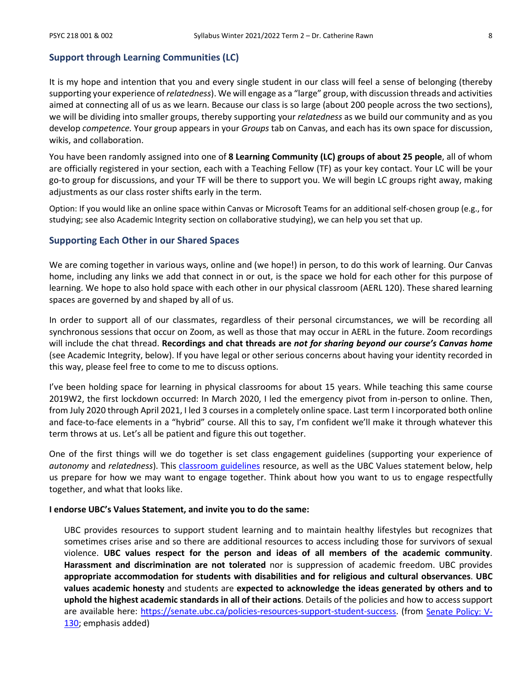#### **Support through Learning Communities (LC)**

It is my hope and intention that you and every single student in our class will feel a sense of belonging (thereby supporting your experience of *relatedness*). We will engage as a "large" group, with discussion threads and activities aimed at connecting all of us as we learn. Because our class is so large (about 200 people across the two sections), we will be dividing into smaller groups, thereby supporting your *relatedness* as we build our community and as you develop *competence.* Your group appears in your *Groups* tab on Canvas, and each has its own space for discussion, wikis, and collaboration.

You have been randomly assigned into one of **8 Learning Community (LC) groups of about 25 people**, all of whom are officially registered in your section, each with a Teaching Fellow (TF) as your key contact. Your LC will be your go-to group for discussions, and your TF will be there to support you. We will begin LC groups right away, making adjustments as our class roster shifts early in the term.

Option: If you would like an online space within Canvas or Microsoft Teams for an additional self-chosen group (e.g., for studying; see also Academic Integrity section on collaborative studying), we can help you set that up.

#### **Supporting Each Other in our Shared Spaces**

We are coming together in various ways, online and (we hope!) in person, to do this work of learning. Our Canvas home, including any links we add that connect in or out, is the space we hold for each other for this purpose of learning. We hope to also hold space with each other in our physical classroom (AERL 120). These shared learning spaces are governed by and shaped by all of us.

In order to support all of our classmates, regardless of their personal circumstances, we will be recording all synchronous sessions that occur on Zoom, as well as those that may occur in AERL in the future. Zoom recordings will include the chat thread. **Recordings and chat threads are** *not for sharing beyond our course's Canvas home* (see Academic Integrity, below). If you have legal or other serious concerns about having your identity recorded in this way, please feel free to come to me to discuss options.

I've been holding space for learning in physical classrooms for about 15 years. While teaching this same course 2019W2, the first lockdown occurred: In March 2020, I led the emergency pivot from in-person to online. Then, from July 2020 through April 2021, I led 3 courses in a completely online space. Last term I incorporated both online and face-to-face elements in a "hybrid" course. All this to say, I'm confident we'll make it through whatever this term throws at us. Let's all be patient and figure this out together.

One of the first things will we do together is set class engagement guidelines (supporting your experience of *autonomy* and *relatedness*). This [classroom guidelines](https://wiki.ubc.ca/Documentation:Inclusive_Teaching/Classroom_Guidelines) resource, as well as the UBC Values statement below, help us prepare for how we may want to engage together. Think about how you want to us to engage respectfully together, and what that looks like.

#### **I endorse UBC's Values Statement, and invite you to do the same:**

UBC provides resources to support student learning and to maintain healthy lifestyles but recognizes that sometimes crises arise and so there are additional resources to access including those for survivors of sexual violence. **UBC values respect for the person and ideas of all members of the academic community**. **Harassment and discrimination are not tolerated** nor is suppression of academic freedom. UBC provides **appropriate accommodation for students with disabilities and for religious and cultural observances**. **UBC values academic honesty** and students are **expected to acknowledge the ideas generated by others and to uphold the highest academic standards in all of their actions**. Details of the policies and how to access support are available here: [https://senate.ubc.ca/policies-resources-support-student-success.](https://senate.ubc.ca/policies-resources-support-student-success) (from [Senate Policy: V-](https://senate.ubc.ca/sites/senate.ubc.ca/files/downloads/Policy-20190207-V-130-Syllabus.pdf)[130;](https://senate.ubc.ca/sites/senate.ubc.ca/files/downloads/Policy-20190207-V-130-Syllabus.pdf) emphasis added)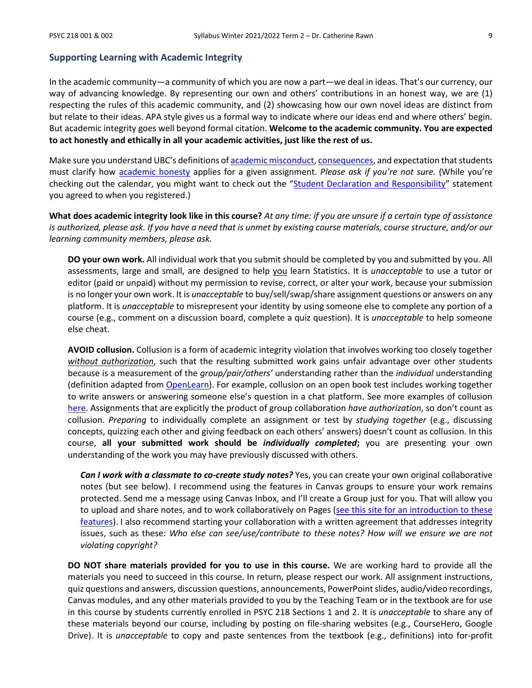#### **Supporting Learning with Academic Integrity**

In the academic community—a community of which you are now a part—we deal in ideas. That's our currency, our way of advancing knowledge. By representing our own and others' contributions in an honest way, we are (1) respecting the rules of this academic community, and (2) showcasing how our own novel ideas are distinct from but relate to their ideas. APA style gives us a formal way to indicate where our ideas end and where others' begin. But academic integrity goes well beyond formal citation. **Welcome to the academic community. You are expected to act honestly and ethically in all your academic activities, just like the rest of us.**

Make sure you understand UBC's definitions o[f academic misconduct,](http://www.calendar.ubc.ca/Vancouver/index.cfm?tree=3,54,111,959) [consequences,](http://www.calendar.ubc.ca/Vancouver/index.cfm?tree=3,54,111,960) and expectation that students must clarify how [academic honesty](http://www.calendar.ubc.ca/Vancouver/index.cfm?tree=3,286,0,0) applies for a given assignment. *Please ask if you're not sure.* (While you're checking out the calendar, you might want to check out the ["Student Declaration and Responsibility"](http://www.calendar.ubc.ca/Vancouver/index.cfm?tree=3,285,0,0) statement you agreed to when you registered.)

**What does academic integrity look like in this course?** *At any time: if you are unsure if a certain type of assistance is authorized, please ask. If you have a need that is unmet by existing course materials, course structure, and/or our learning community members, please ask.*

**DO your own work.** All individual work that you submit should be completed by you and submitted by you. All assessments, large and small, are designed to help you learn Statistics. It is *unacceptable* to use a tutor or editor (paid or unpaid) without my permission to revise, correct, or alter your work, because your submission is no longer your own work. It is *unacceptable* to buy/sell/swap/share assignment questions or answers on any platform. It is *unacceptable* to misrepresent your identity by using someone else to complete any portion of a course (e.g., comment on a discussion board, complete a quiz question). It is *unacceptable* to help someone else cheat.

**AVOID collusion.** Collusion is a form of academic integrity violation that involves working too closely together *without authorization*, such that the resulting submitted work gains unfair advantage over other students because is a measurement of the *group/pair/others'* understanding rather than the *individual* understanding (definition adapted from [OpenLearn\)](https://www.open.edu/openlearn/education/educational-technology-and-practice/educational-practice/developing-good-academic-practice/content-section-3.2). For example, collusion on an open book test includes working together to write answers or answering someone else's question in a chat platform. See more examples of collusion [here.](https://www.open.edu/openlearn/education/educational-technology-and-practice/educational-practice/developing-good-academic-practice/content-section-3.2) Assignments that are explicitly the product of group collaboration *have authorization*, so don't count as collusion. *Preparing* to individually complete an assignment or test by *studying together* (e.g., discussing concepts, quizzing each other and giving feedback on each others' answers) doesn't count as collusion. In this course, **all your submitted work should be** *individually completed***;** you are presenting your own understanding of the work you may have previously discussed with others.

*Can I work with a classmate to co-create study notes?* Yes, you can create your own original collaborative notes (but see below). I recommend using the features in Canvas groups to ensure your work remains protected. Send me a message using Canvas Inbox, and I'll create a Group just for you. That will allow you to upload and share notes, and to work collaboratively on Pages (see this site for an introduction to these [features\)](https://students.canvas.ubc.ca/navigating-canvas-groups/). I also recommend starting your collaboration with a written agreement that addresses integrity issues, such as these: *Who else can see/use/contribute to these notes? How will we ensure we are not violating copyright?*

**DO NOT share materials provided for you to use in this course.** We are working hard to provide all the materials you need to succeed in this course. In return, please respect our work. All assignment instructions, quiz questions and answers, discussion questions, announcements, PowerPoint slides, audio/video recordings, Canvas modules, and any other materials provided to you by the Teaching Team or in the textbook are for use in this course by students currently enrolled in PSYC 218 Sections 1 and 2. It is *unacceptable* to share any of these materials beyond our course, including by posting on file-sharing websites (e.g., CourseHero, Google Drive). It is *unacceptable* to copy and paste sentences from the textbook (e.g., definitions) into for-profit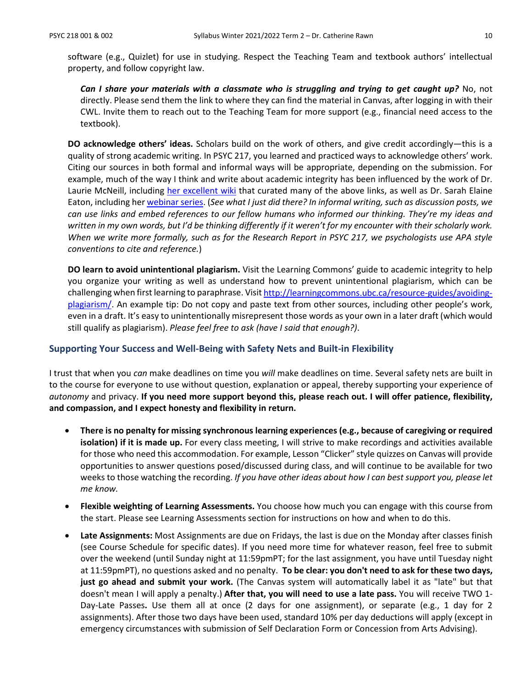software (e.g., Quizlet) for use in studying. Respect the Teaching Team and textbook authors' intellectual property, and follow copyright law.

*Can I share your materials with a classmate who is struggling and trying to get caught up?* **No, not** directly. Please send them the link to where they can find the material in Canvas, after logging in with their CWL. Invite them to reach out to the Teaching Team for more support (e.g., financial need access to the textbook).

**DO acknowledge others' ideas.** Scholars build on the work of others, and give credit accordingly—this is a quality of strong academic writing. In PSYC 217, you learned and practiced ways to acknowledge others' work. Citing our sources in both formal and informal ways will be appropriate, depending on the submission. For example, much of the way I think and write about academic integrity has been influenced by the work of Dr. Laurie McNeill, including [her excellent wiki](https://wiki.ubc.ca/Learning_Commons:Faculty_Resources/Academic_Integrity) that curated many of the above links, as well as Dr. Sarah Elaine Eaton, including he[r webinar series.](https://taylorinstitute.ucalgary.ca/series/academic-integrity-urgent-emerging-topics) (*See what I just did there? In informal writing, such as discussion posts, we can use links and embed references to our fellow humans who informed our thinking. They're my ideas and written in my own words, but I'd be thinking differently if it weren't for my encounter with their scholarly work. When we write more formally, such as for the Research Report in PSYC 217, we psychologists use APA style conventions to cite and reference.*)

**DO learn to avoid unintentional plagiarism.** Visit the Learning Commons' guide to academic integrity to help you organize your writing as well as understand how to prevent unintentional plagiarism, which can be challenging when first learning to paraphrase. Visi[t http://learningcommons.ubc.ca/resource-guides/avoiding](http://learningcommons.ubc.ca/resource-guides/avoiding-plagiarism/)[plagiarism/.](http://learningcommons.ubc.ca/resource-guides/avoiding-plagiarism/) An example tip: Do not copy and paste text from other sources, including other people's work, even in a draft. It's easy to unintentionally misrepresent those words as your own in a later draft (which would still qualify as plagiarism). *Please feel free to ask (have I said that enough?)*.

### **Supporting Your Success and Well-Being with Safety Nets and Built-in Flexibility**

I trust that when you *can* make deadlines on time you *will* make deadlines on time. Several safety nets are built in to the course for everyone to use without question, explanation or appeal, thereby supporting your experience of *autonomy* and privacy. **If you need more support beyond this, please reach out. I will offer patience, flexibility, and compassion, and I expect honesty and flexibility in return.**

- **There is no penalty for missing synchronous learning experiences (e.g., because of caregiving or required isolation) if it is made up.** For every class meeting, I will strive to make recordings and activities available for those who need this accommodation. For example, Lesson "Clicker" style quizzes on Canvas will provide opportunities to answer questions posed/discussed during class, and will continue to be available for two weeks to those watching the recording. *If you have other ideas about how I can best support you, please let me know.*
- **Flexible weighting of Learning Assessments.** You choose how much you can engage with this course from the start. Please see Learning Assessments section for instructions on how and when to do this.
- **Late Assignments:** Most Assignments are due on Fridays, the last is due on the Monday after classes finish (see Course Schedule for specific dates). If you need more time for whatever reason, feel free to submit over the weekend (until Sunday night at 11:59pmPT; for the last assignment, you have until Tuesday night at 11:59pmPT), no questions asked and no penalty. **To be clear: you don't need to ask for these two days, just go ahead and submit your work.** (The Canvas system will automatically label it as "late" but that doesn't mean I will apply a penalty.) **After that, you will need to use a late pass.** You will receive TWO 1- Day-Late Passes**.** Use them all at once (2 days for one assignment), or separate (e.g., 1 day for 2 assignments). After those two days have been used, standard 10% per day deductions will apply (except in emergency circumstances with submission of Self Declaration Form or Concession from Arts Advising).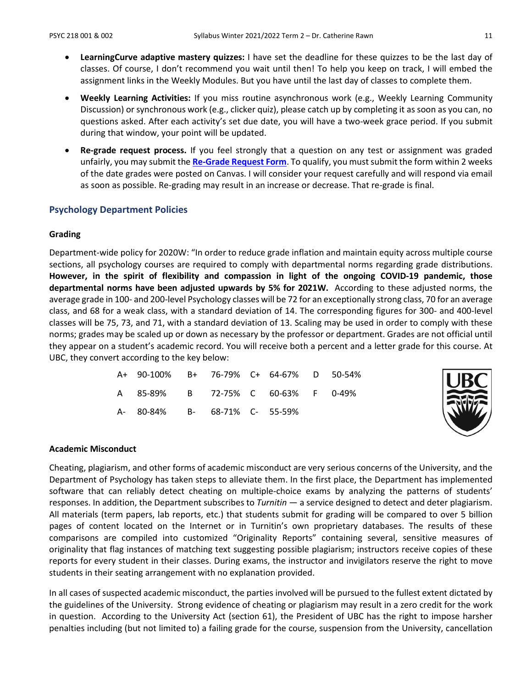- **LearningCurve adaptive mastery quizzes:** I have set the deadline for these quizzes to be the last day of classes. Of course, I don't recommend you wait until then! To help you keep on track, I will embed the assignment links in the Weekly Modules. But you have until the last day of classes to complete them.
- **Weekly Learning Activities:** If you miss routine asynchronous work (e.g., Weekly Learning Community Discussion) or synchronous work (e.g., clicker quiz), please catch up by completing it as soon as you can, no questions asked. After each activity's set due date, you will have a two-week grace period. If you submit during that window, your point will be updated.
- **Re-grade request process.** If you feel strongly that a question on any test or assignment was graded unfairly, you may submit the **[Re-Grade Request Form](https://ubc.ca1.qualtrics.com/jfe/form/SV_a9m73Sk3N9ApUrP)**. To qualify, you must submit the form within 2 weeks of the date grades were posted on Canvas. I will consider your request carefully and will respond via email as soon as possible. Re-grading may result in an increase or decrease. That re-grade is final.

### **Psychology Department Policies**

#### **Grading**

Department-wide policy for 2020W: "In order to reduce grade inflation and maintain equity across multiple course sections, all psychology courses are required to comply with departmental norms regarding grade distributions. **However, in the spirit of flexibility and compassion in light of the ongoing COVID-19 pandemic, those departmental norms have been adjusted upwards by 5% for 2021W.** According to these adjusted norms, the average grade in 100- and 200-level Psychology classes will be 72 for an exceptionally strong class, 70 for an average class, and 68 for a weak class, with a standard deviation of 14. The corresponding figures for 300- and 400-level classes will be 75, 73, and 71, with a standard deviation of 13. Scaling may be used in order to comply with these norms; grades may be scaled up or down as necessary by the professor or department. Grades are not official until they appear on a student's academic record. You will receive both a percent and a letter grade for this course. At UBC, they convert according to the key below:

| A+ 90-100% B+ 76-79% C+ 64-67% D 50-54% |  |  |  |
|-----------------------------------------|--|--|--|
| A 85-89% B 72-75% C 60-63% F 0-49%      |  |  |  |
| A- 80-84% B- 68-71% C- 55-59%           |  |  |  |



#### **Academic Misconduct**

Cheating, plagiarism, and other forms of academic misconduct are very serious concerns of the University, and the Department of Psychology has taken steps to alleviate them. In the first place, the Department has implemented software that can reliably detect cheating on multiple-choice exams by analyzing the patterns of students' responses. In addition, the Department subscribes to *Turnitin* — a service designed to detect and deter plagiarism. All materials (term papers, lab reports, etc.) that students submit for grading will be compared to over 5 billion pages of content located on the Internet or in Turnitin's own proprietary databases. The results of these comparisons are compiled into customized "Originality Reports" containing several, sensitive measures of originality that flag instances of matching text suggesting possible plagiarism; instructors receive copies of these reports for every student in their classes. During exams, the instructor and invigilators reserve the right to move students in their seating arrangement with no explanation provided.

In all cases of suspected academic misconduct, the parties involved will be pursued to the fullest extent dictated by the guidelines of the University. Strong evidence of cheating or plagiarism may result in a zero credit for the work in question. According to the University Act (section 61), the President of UBC has the right to impose harsher penalties including (but not limited to) a failing grade for the course, suspension from the University, cancellation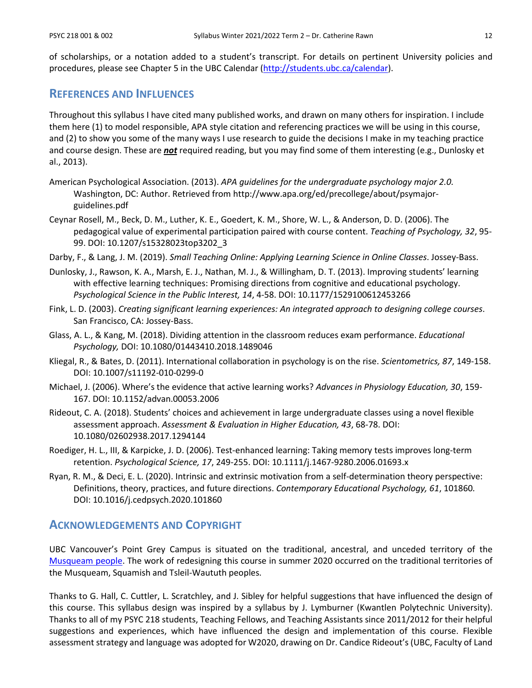of scholarships, or a notation added to a student's transcript. For details on pertinent University policies and procedures, please see Chapter 5 in the UBC Calendar [\(http://students.ubc.ca/calendar\)](http://students.ubc.ca/calendar).

# **REFERENCES AND INFLUENCES**

Throughout this syllabus I have cited many published works, and drawn on many others for inspiration. I include them here (1) to model responsible, APA style citation and referencing practices we will be using in this course, and (2) to show you some of the many ways I use research to guide the decisions I make in my teaching practice and course design. These are *not* required reading, but you may find some of them interesting (e.g., Dunlosky et al., 2013).

- American Psychological Association. (2013). *APA guidelines for the undergraduate psychology major 2.0.*  Washington, DC: Author. Retrieved from http://www.apa.org/ed/precollege/about/psymajorguidelines.pdf
- Ceynar Rosell, M., Beck, D. M., Luther, K. E., Goedert, K. M., Shore, W. L., & Anderson, D. D. (2006). The pedagogical value of experimental participation paired with course content. *Teaching of Psychology, 32*, 95- 99. DOI: 10.1207/s15328023top3202\_3
- Darby, F., & Lang, J. M. (2019). *Small Teaching Online: Applying Learning Science in Online Classes*. Jossey-Bass.
- Dunlosky, J., Rawson, K. A., Marsh, E. J., Nathan, M. J., & Willingham, D. T. (2013). Improving students' learning with effective learning techniques: Promising directions from cognitive and educational psychology. *Psychological Science in the Public Interest, 14*, 4-58. DOI: 10.1177/1529100612453266
- Fink, L. D. (2003). *Creating significant learning experiences: An integrated approach to designing college courses*. San Francisco, CA: Jossey-Bass.
- Glass, A. L., & Kang, M. (2018). Dividing attention in the classroom reduces exam performance. *Educational Psychology,* DOI: 10.1080/01443410.2018.1489046
- Kliegal, R., & Bates, D. (2011). International collaboration in psychology is on the rise. *Scientometrics, 87*, 149-158. DOI: 10.1007/s11192-010-0299-0
- Michael, J. (2006). Where's the evidence that active learning works? *Advances in Physiology Education, 30*, 159- 167. DOI: 10.1152/advan.00053.2006
- Rideout, C. A. (2018). Students' choices and achievement in large undergraduate classes using a novel flexible assessment approach. *Assessment & Evaluation in Higher Education, 43*, 68-78. DOI: 10.1080/02602938.2017.1294144
- Roediger, H. L., III, & Karpicke, J. D. (2006). Test-enhanced learning: Taking memory tests improves long-term retention. *Psychological Science, 17*, 249-255. DOI: 10.1111/j.1467-9280.2006.01693.x
- Ryan, R. M., & Deci, E. L. (2020). Intrinsic and extrinsic motivation from a self-determination theory perspective: Definitions, theory, practices, and future directions. *Contemporary Educational Psychology, 61*, 101860*.* DOI: 10.1016/j.cedpsych.2020.101860

# **ACKNOWLEDGEMENTS AND COPYRIGHT**

UBC Vancouver's Point Grey Campus is situated on the traditional, ancestral, and unceded territory of the [Musqueam people.](http://aboriginal.ubc.ca/community-youth/%20musqueam-and-ubc/) The work of redesigning this course in summer 2020 occurred on the traditional territories of the Musqueam, Squamish and Tsleil-Waututh peoples.

Thanks to G. Hall, C. Cuttler, L. Scratchley, and J. Sibley for helpful suggestions that have influenced the design of this course. This syllabus design was inspired by a syllabus by J. Lymburner (Kwantlen Polytechnic University). Thanks to all of my PSYC 218 students, Teaching Fellows, and Teaching Assistants since 2011/2012 for their helpful suggestions and experiences, which have influenced the design and implementation of this course. Flexible assessment strategy and language was adopted for W2020, drawing on Dr. Candice Rideout's (UBC, Faculty of Land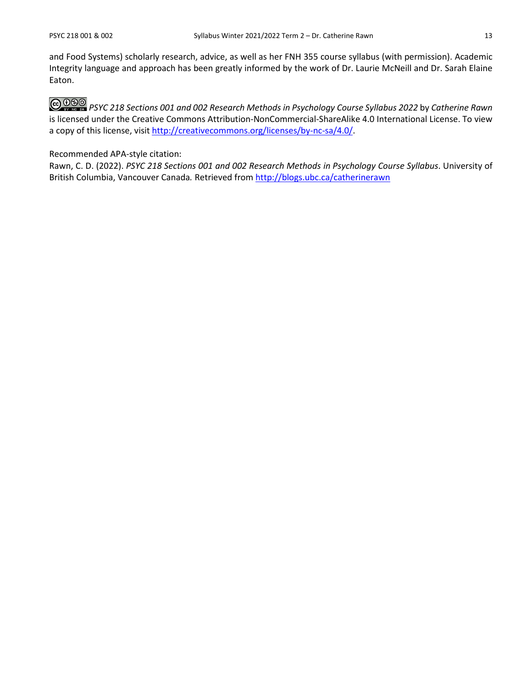and Food Systems) scholarly research, advice, as well as her FNH 355 course syllabus (with permission). Academic Integrity language and approach has been greatly informed by the work of Dr. Laurie McNeill and Dr. Sarah Elaine Eaton.

*PSYC 218 Sections 001 and 002 Research Methods in Psychology Course Syllabus 2022* by *Catherine Rawn* is licensed under the Creative Commons Attribution-NonCommercial-ShareAlike 4.0 International License. To view a copy of this license, visit [http://creativecommons.org/licenses/by-nc-sa/4.0/.](http://creativecommons.org/licenses/by-nc-sa/4.0/)

#### Recommended APA-style citation:

Rawn, C. D. (2022). *PSYC 218 Sections 001 and 002 Research Methods in Psychology Course Syllabus*. University of British Columbia, Vancouver Canada*.* Retrieved from<http://blogs.ubc.ca/catherinerawn>